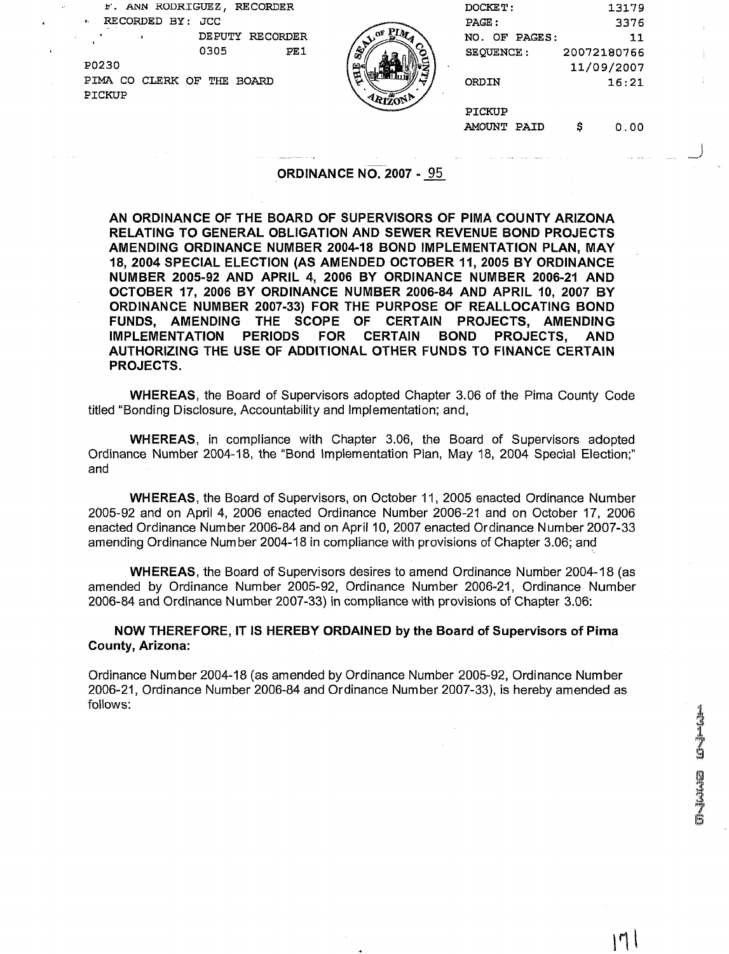| F. ANN RODRIGUEZ, RECORDER                                                                                                                                                                                                                                                                              | DOCKET:           | 13179       |       |
|---------------------------------------------------------------------------------------------------------------------------------------------------------------------------------------------------------------------------------------------------------------------------------------------------------|-------------------|-------------|-------|
| RECORDED BY: JCC<br>٠.                                                                                                                                                                                                                                                                                  | PAGE:             | 3376        |       |
| DEPUTY<br>RECORDER<br>$\sim$ 1                                                                                                                                                                                                                                                                          | NO. OF PAGES:     | 11          |       |
| 0305<br>PE <sub>1</sub>                                                                                                                                                                                                                                                                                 | <b>SEQUENCE :</b> | 20072180766 |       |
| P0230                                                                                                                                                                                                                                                                                                   |                   | 11/09/2007  |       |
| PIMA CO CLERK OF THE BOARD                                                                                                                                                                                                                                                                              | ORDIN             | 16:21       |       |
| PICKUP                                                                                                                                                                                                                                                                                                  |                   |             |       |
|                                                                                                                                                                                                                                                                                                         | PICKUP            |             |       |
|                                                                                                                                                                                                                                                                                                         | AMOUNT PAID       | 0.00<br>s   |       |
| All Andrew Corp.<br>the contract of the<br>$\mathcal{L}^{\mathcal{L}}\left( \mathcal{L}^{\mathcal{L}}\left( \mathcal{L}^{\mathcal{L}}\left( \mathcal{L}^{\mathcal{L}}\right) \right) \right) =\mathcal{L}^{\mathcal{L}}\left( \mathcal{L}^{\mathcal{L}}\left( \mathcal{L}^{\mathcal{L}}\right) \right)$ |                   |             | 11.11 |
|                                                                                                                                                                                                                                                                                                         |                   |             |       |

# **ORDINANCE NO. 2007 - 95**

AN ORDINANCE OF THE BOARD OF SUPERVISORS OF PlMA COUNTY ARIZONA RELATING TO GENERAL OBLIGATION AND SEWER REVENUE BOND PROJECTS AMENDING ORDINANCE NUMBER 2004-18 BOND IMPLEMENTATION PLAN, MAY 18, 2004 SPECIAL ELECTION (AS AMENDED OCTOBER 11, 2005 BY ORDINANCE NUMBER 2005-92 AND APRIL 4, 2006 BY ORDINANCE NUMBER 2006-21 AND OCTOBER 17, 2006 BY ORDINANCE NUMBER 2006-84 AND APRIL 10, 2007 BY ORDINANCE NUMBER 2007-33) FOR THE PURPOSE OF REALLOCATING BOND FUNDS, AMENDING THE SCOPE OF CERTAIN PROJECTS, AMENDING IMPLEMENTATION PERIODS FOR CERTAIN BOND PROJECTS, AND AUTHORIZING THE USE OF ADDITIONAL OTHER FUNDS TO FINANCE CERTAIN PROJECTS.

WHEREAS, the Board of Supervisors adopted Chapter 3.06 of the Pima County Code titled "Bonding Disclosure, Accountability and Implementation; and,

WHEREAS, in compliance with Chapter 3.06, the Board of Supervisors adopted Ordinance Number 2004-18, the "Bond Implementation Plan, May 18, 2004 Special Election;" and

WHEREAS, the Board of Supervisors, on October 11, 2005 enacted Ordinance Number 2005-92 and on April 4, 2006 enacted Ordinance Number 2006-21 and on October 17, 2006 enacted Ordinance Number 2006-84 and on April 10,2007 enacted Ordinance Number 2007-33 amending Ordinance Number 2004-18 in compliance with provisions of Chapter 3.06; and

WHEREAS, the Board of Supervisors desires to amend Ordinance Number 2004-18 (as amended by Ordinance Number 2005-92, Ordinance Number 2006-21, Ordinance Number 2006-84 and Ordinance Number 2007-33) in compliance with provisions of Chapter 3.06:

NOW THEREFORE, IT IS HEREBY ORDAINED by the Board of Supervisors of Pima County, Arizona:

Ordinance Number 2004-18 (as amended by Ordinance Number 2005-92, Ordinance Number 2006-21, Ordinance Number 2006-84 and Ordinance Number 2007-33), is hereby amended as follows: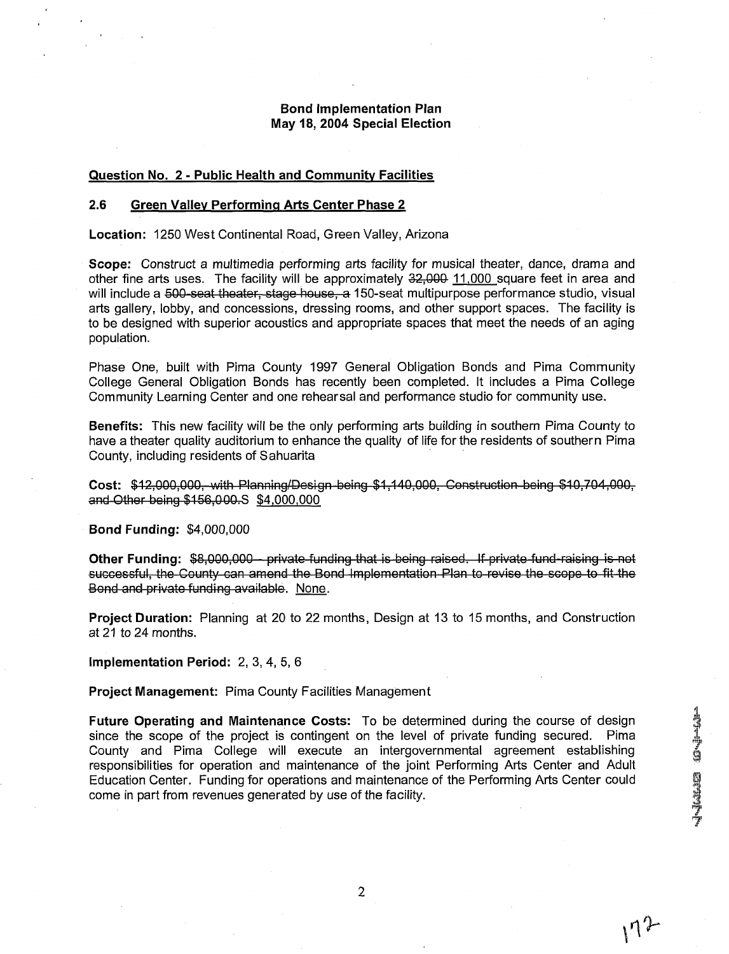# **Bond Implementation Plan May 18, 2004 Special Election**

## **Question No. 2** - **Public Health and Communitv Facilities**

## **2.6 Green Vallev Performina Arts Center Phase 2**

**Location:** 1250 West Continental Road, Green Valley, Arizona

**Scope:** Construct a multimedia performing arts facility for musical theater, dance, drama and other fine arts uses. The facility will be approximately 32,000 11,000 square feet in area and will include a 500-seat theater, stage house, a 150-seat multipurpose performance studio, visual **Bond Implementation Plan<br>
May 18, 2004 Special Election**<br> **Question No. 2 - Public Health and Community Facilities**<br>
2.6 Green Valley Performing Arts Center Phase 2<br>
Location: 1250 West Continental Road, Green Valley, Ari arts gallery, lobby, and concessions, dressing rooms, and other support spaces. The facility is to be designed with superior acoustics and appropriate spaces that meet the needs of an aging population.

Phase One, built with Pima County 1997 General Obligation Bonds and Pima Community College General Obligation Bonds has recently been completed. It includes a Pima College Community Learning Center and one rehearsal and performance studio for community use.

**Benefits:** This new facility will be the only performing arts building in southern Pima County to have a theater quality auditorium to enhance the quality of life for the residents of southern Pima County, including residents of Sahuarita Benefits: This new facility will be the only performing arts building in southern Pima County to have a theater quality auditorium to enhance the quality of life for the residents of southern Pima County, including residen

and Other being \$156,000.S \$4,000,000

**Bond Funding:** \$4,000,000

Other Funding: \$8,000,000 - private funding that is being raised. If private fund-raising is not successful, the County can amend the Bond Implementation Plan to revise the scope to fit the Bond and private funding available. None.

**Project Duration:** Planning at 20 to 22 months, Design at 13 to 15 months, and Construction at 21 to 24 months.

**lmplementation Period:** 2, **3,** 4, 5, 6

**Project Management:** Pima County Facilities Management

**Future Operating and Maintenance Costs:** To be determined during the course of design since the scope of the project is contingent on the level of private funding secured. Pima County and Pima College will execute an intergovernmental agreement establishing responsibilities for operation and maintenance of the joint Performing Arts Center and Adult Education Center. Funding for operations and maintenance of the Performing Arts Center could come in part from revenues generated by use of the facility.

 $17^2$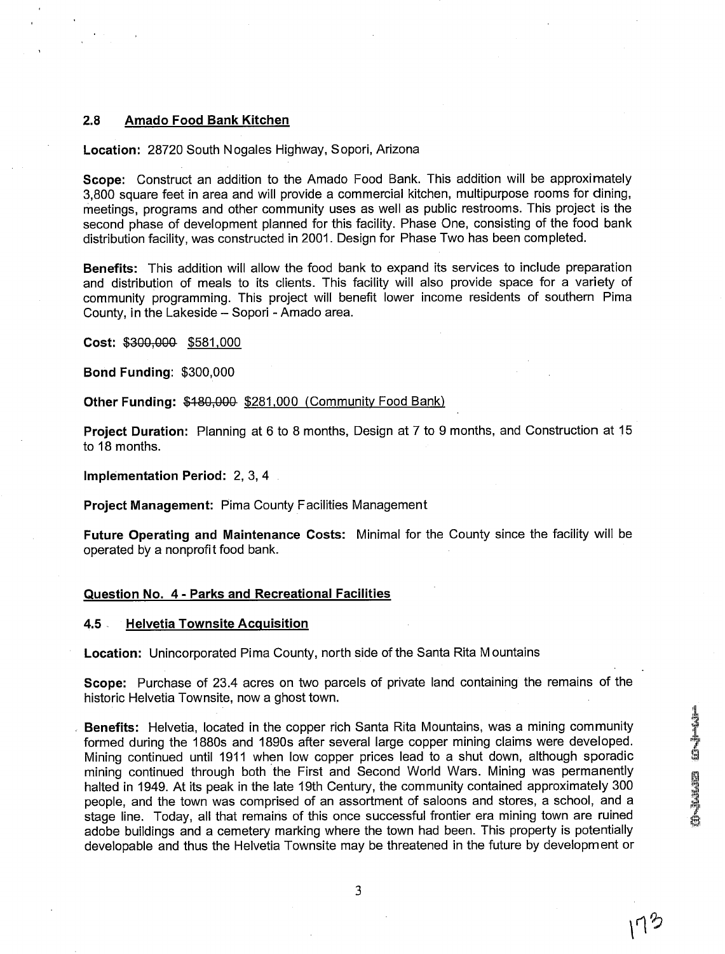# **2.8 Amado Food Bank Kitchen**

#### **Location:** 28720 South Nogales Highway, Sopori, Arizona

**Scope:** Construct an addition to the Amado Food Bank. This addition will be approximately 3,800 square feet in area and will provide a commercial kitchen, multipurpose rooms for dining, meetings, programs and other community uses as well as public restrooms. This project is the second phase of development planned for this facility. Phase One, consisting of the food bank distribution facility, was constructed in 2001. Design for Phase Two has been completed.

**Benefits:** This addition will allow the food bank to expand its services to include preparation and distribution of meals to its clients. This facility will also provide space for a variety of community programming. This project will benefit lower income residents of southern Pima County, in the Lakeside - Sopori - Amado area.

**Cost: \$300,000 \$581,000** 

**Bond Funding:** \$300,000

**Other Funding: \$480,000 \$281,000 (Community Food Bank)** 

**Project Duration:** Planning at **6** to 8 months, Design at 7 to 9 months, and Construction at 15 to 18 months.

**Implementation Period:** 2, 3,4

**Project Management:** Pima County Facilities Management

**Future Operating and Maintenance Costs:** Minimal for the County since the facility will be operated by a nonprofit food bank.

## **Question No. 4** - **Parks and Recreational Facilities**

#### **4.5** . **Helvetia Townsite Acquisition**

**Location:** Unincorporated Pima County, north side of the Santa Rita Mountains

**Scope:** Purchase of 23.4 acres on two parcels of private land containing the remains of the historic Helvetia Townsite, now a ghost town.

, **Benefits:** Helvetia, located in the copper rich Santa Rita Mountains, was a mining community formed during the 1880s and 1890s after several large copper mining claims were developed. Mining continued until 1911 when low copper prices lead to a shut down, although sporadic mining continued through both the First and Second World Wars. Mining was permanently halted in 1949. At its peak in the late 19th Century, the community contained approximately 300 people, and the town was comprised of an assortment of saloons and stores, a school, and a stage line. Today, all that remains of this once successful frontier era mining town are ruined adobe buildings and a cemetery marking where the town had been. This property is potentially developable and thus the Helvetia Townsite may be threatened in the future by development or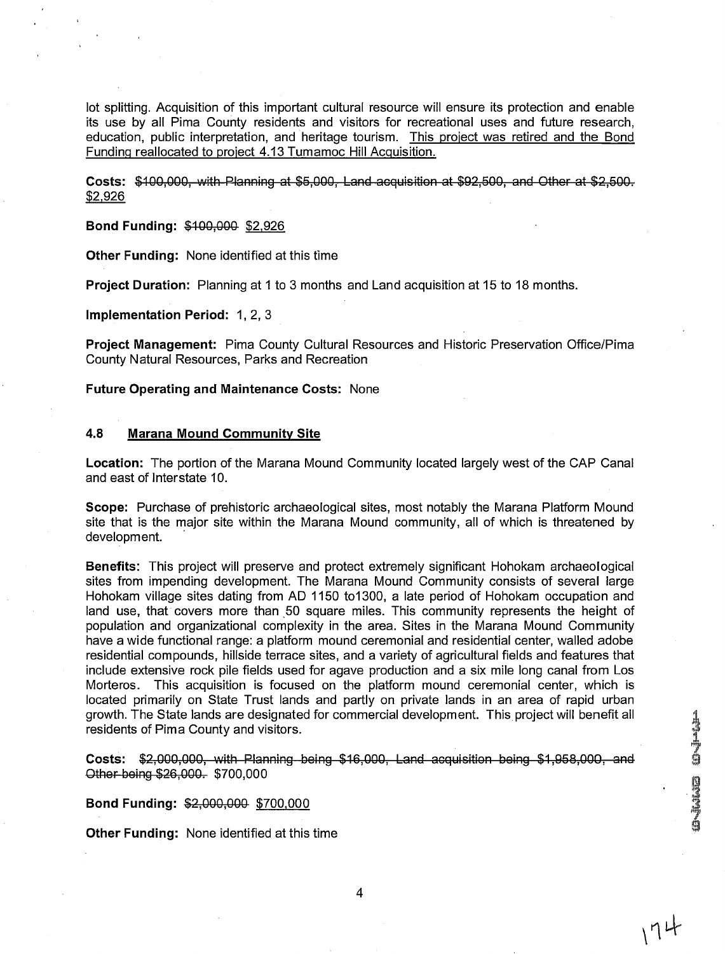lot splitting. Acquisition of this important cultural resource will ensure its protection and enable its use by all Pima County residents and visitors for recreational uses and future research, education, public interpretation, and heritage tourism. This proiect was retired and the Bond Funding reallocated to proiect 4.13 Tumamoc Hill Acquisition. lot splitting. Acquisition of this important cultural resource will ensure its protection and enable<br>its use by all Pima County residents and visitors for recreational uses and future research,<br>education, public interpreta

\$2,926

**Bond Funding: \$100,000 \$2,926** 

**Other Funding:** None identified at this time

**Project Duration:** Planning at 1 to 3 months and Land acquisition at 15 to 18 months.

**Implementation Period:** 1, 2, 3

**Project Management:** Pima County Cultural Resources and Historic Preservation Office/Pima County Natural Resources, Parks and Recreation

#### **Future Operating and Maintenance Costs:** None

#### **4.8 Marana Mound Communitv Site**

**Location:** The portion of the Marana Mound Community located largely west of the CAP Canal and east of Interstate 10.

**Scope:** Purchase of prehistoric archaeological sites, most notably the Marana Platform Mound site that is the major site within the Marana Mound community, all of which is threatened by development.

**Benefits:** This project will preserve and protect extremely significant Hohokam archaeological sites from impending development. The Marana Mound Community consists of several large Hohokam village sites dating from AD 1150 to1300, a late period of Hohokam occupation and land use, that covers more than 50 square miles. This community represents the height of population and organizational complexity in the area. Sites in the Marana Mound Community have a wide functional range: a platform mound ceremonial and residential center, walled adobe residential compounds, hillside terrace sites, and a variety of agricultural fields and features that include extensive rock pile fields used for agave production and a six mile long canal from Los Morteros. This acquisition is focused on the platform mound ceremonial center, which is located primarily on State Trust lands and partly on private lands in an area of rapid urban growth. The State lands are designated for commercial development. This project will benefit all residents of Pima County and visitors. Location: The portion of the Marana Mound Community located largely west of the CAP Canal<br>
and east of Interstate 10.<br>
Scope: Purchase of prehistoric archaeological sites, most notably the Marana Platform Mound<br>
Site that

Other-being \$26,000. \$700,000

**Bond Funding: \$2,000,000 \$700,000** 

**Other Funding:** None identified at this time

 $n4$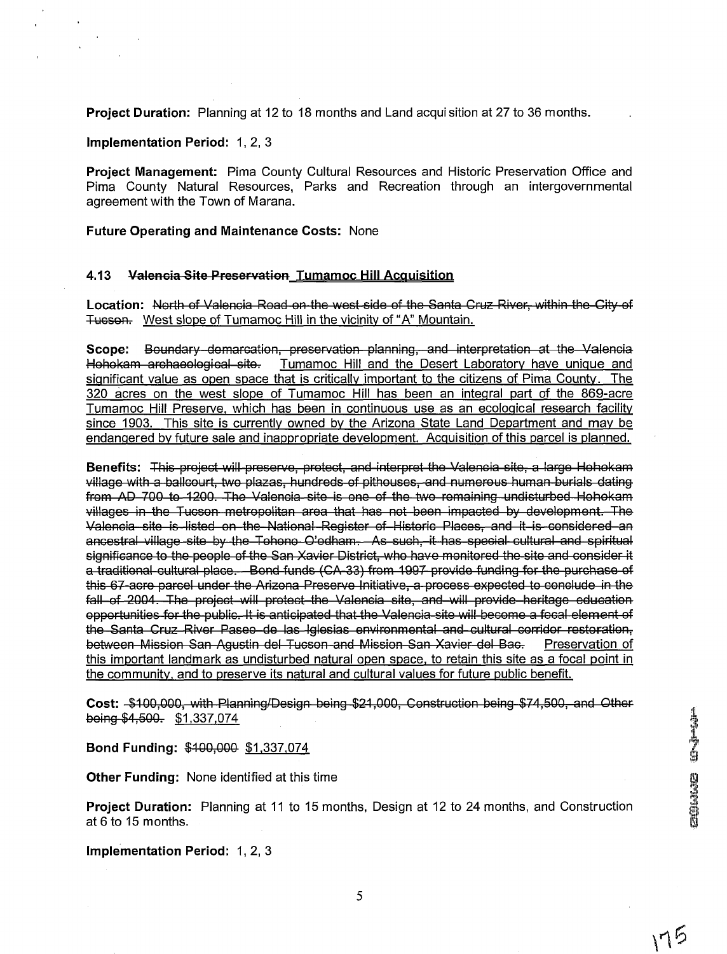**Project Duration:** Planning at 12 to 18 months and Land acquisition at 27 to 36 months.

# **lmplementation Period: 1,** 2, 3

**Project Management:** Pima County Cultural Resources and Historic Preservation Office and Pima County Natural Resources, Parks and Recreation through an intergovernmental agreement with the Town of Marana.

## **Future Operating and Maintenance Costs:** None

Location: North of Valencia Road on the west side of the Santa Cruz River, within the City of Tueson. West slope of Tumamoc Hill in the vicinity of "A" Mountain.

**Scope:** B<del>oundary demarcation, preservation planning, and interpretation at<br><del>Hohokam archaeological site.</del> Tumamoc Hill and the Desert Laboratory have</del> significant value as open space that is critically important to the citizens of Pima County. The 320 acres on the west slope of Tumamoc Hill has been an inteqral part of the 869-acre Tumamoc Hill Preserve, which has been in continuous use as an ecoloqical research facilitv since 1903. This site is currentlv owned bv the Arizona State Land Department and mav be endangered by future sale and inappropriate development. Acquisition of this parcel is planned.

Benefits: This project will preserve, protect, and interpret the Valencia site, a large Hohokam<br>village with a ballcourt, two plazas, hundreds of pithouses, and numerous human burials dating this 67-acre parcel under the Arizona Preserve Initiative, a process expected to conclude in the fall of 2004. The project will protect the Valencia site, and will provide heritage education<br>opportunities for the public. It is anticipated that the Valencia site will become a focal element of **Project Duration:** Flamining at 12 to 18 months and Land ecosistion at 27 to 38 months.<br>
Implementation Period: 1, 2, 3<br> **Project Management:** Pirms County Cultural Resources and Historic Preservation Office and<br>
Africa between Mission San Aqustin del Tueson and Mission San Xavier del Bae. the Santa Cruz River Paseo de las Iglesias environmental and cultural corridor restoration,<br>between Mission San Agustin del Tucson and Mission San Xavier del Bac. Preservation of this important landmark as undisturbed natural open space, to retain this site as a focal point in the communitv, and to preserve its natural and cultural values for future public benefit.

**Cost:**  $-$ \$100,000, with Planning/Design being \$21,000, Construction being \$74,500, and Other being \$4,500. \$1,337,074

#### **Bond Funding: \$400,000 \$1,337,074**

**Other Funding:** None identified at this time

**Project Duration:** Planning at 11 to 15 months, Design at 12 to 24 months, and Construction at 6 to 15 months.

**lmplementation Period:** 1, 2, 3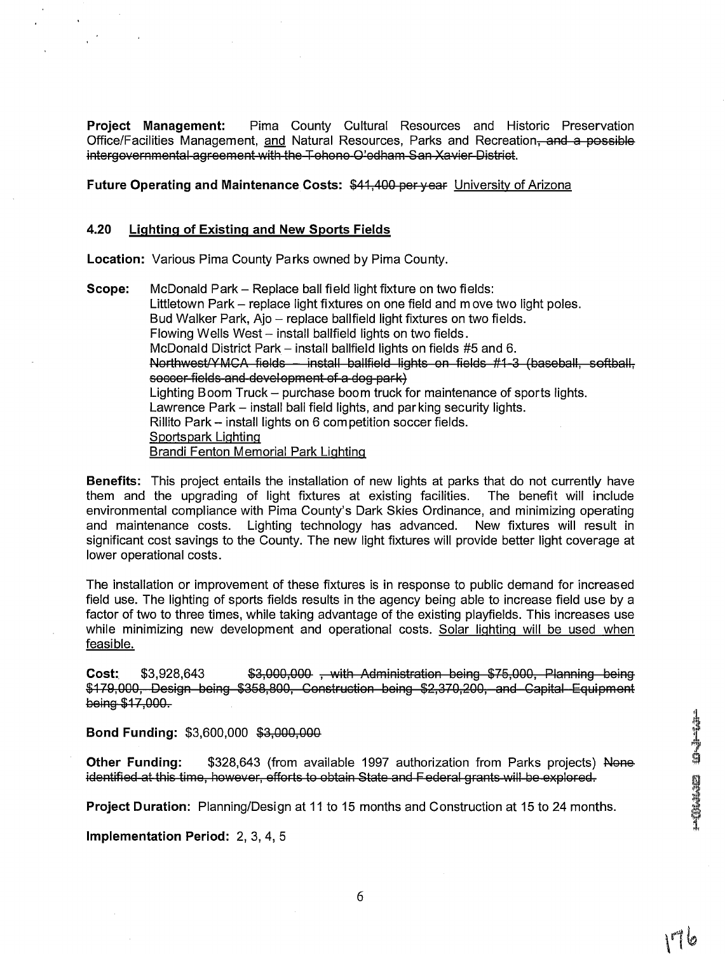**Project Management:** Pima County Cultural Resources and Historic Preservation Office/Facilities Management, and Natural Resources, Parks and Recreation<del>, and a possible</del><br>intergovernmental agreement with the Tohono O'odham San Xavier District.

**Future Operating and Maintenance Costs: \$41,400 per year University of Arizona** 

#### **4.20 Lighting of Existing and New Sports Fields**

**Location:** Various Pima County Parks owned by Pima County.

**Scope:** McDonald Park - Replace ball field light fixture on two fields: Littletown Park - replace light fixtures on one field and move two light poles. Bud Walker Park, Ajo - replace ballfield light fixtures on two fields. Flowing Wells West - install ballfield lights on two fields. McDonald District Park – install ballfield lights on fields #5 and 6.<br>Northwest/YMCA fields – install ballfield lights on fields #1-3 (baseball, softball, soccer fields and development of a dog park)<br>Lighting Boom Truck – purchase boom truck for maintenance of sports lights. Lawrence Park - install ball field lights, and par king security lights. Rillito Park - install lights on 6 competition soccer fields. Sportspark Lightinq Brandi Fenton Memorial Park Lighting

**Benefits:** This project entails the installation of new lights at parks that do not currently have them and the upgrading of light fixtures at existing facilities. The benefit will include environmental compliance with Pima County's Dark Skies Ordinance, and minimizing operating and maintenance costs. Lighting technology has advanced. New fixtures will result in significant cost savings to the County. The new light fixtures will provide better light coverage at lower operational costs.

The installation or improvement of these fixtures is in response to public demand for increased field use. The lighting of sports fields results in the agency being able to increase field use by a factor of two to three times, while taking advantage of the existing playfields. This increases use while minimizing new development and operational costs. Solar lighting will be used when feasible. **Example 18 and 18 and 18 and 18 and 18 and 18 and 18 and 18 and 18 and 18 and 18 and 18 and 18 and 18 and 18 and 18 and 18 and 18 and 18 and 18 and 18 and 18 and 18 and 18 and 18 and 18 and 18 and 18 and 18 and 18 and 18** 

**Cost:** \$3,928,643 **\$3,000,000** , with Administration being \$75,000. Planning being \$179,000, Design being \$358,800, Construction being \$2,370,200, and Capital Equipment **being \$17,000.** 

**Bond Funding: \$3,600,000 \$3,000,000** 

**Other Funding:** \$328,643 (from available 1997 authorization from Parks projects) None identified at this time, however, efforts to obtain State and Federal grants will be explored.

**Project Duration:** Planning/Design at 11 to 15 months and Construction at 15 to 24 months.

**Implementation Period: 2,** 3, 4, 5

rt b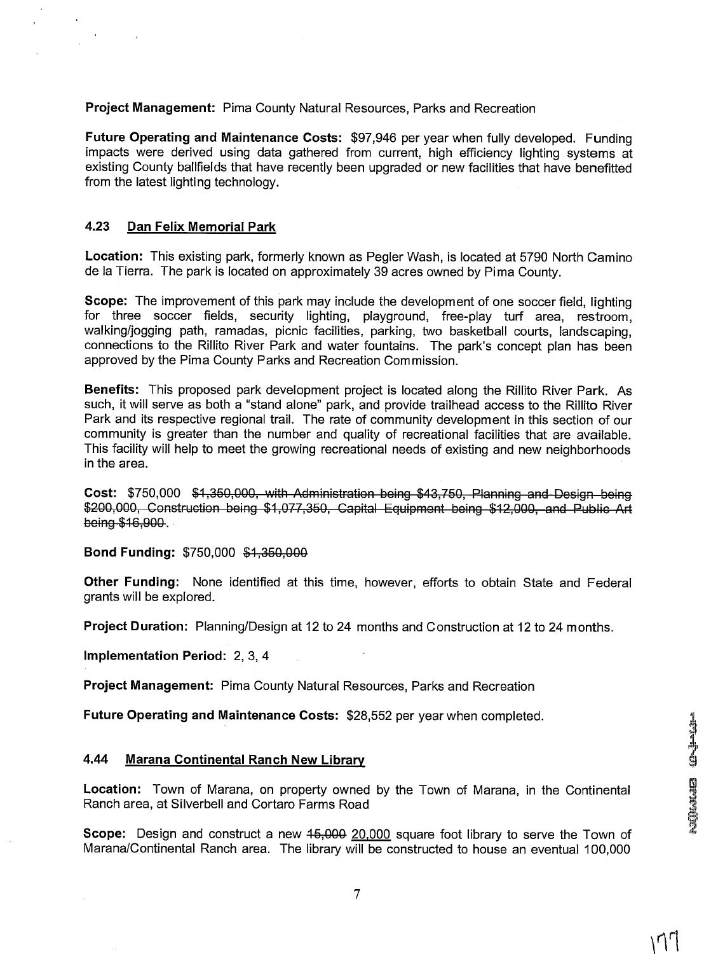**Project Management:** Pima County Natural Resources, Parks and Recreation

**Future Operating and Maintenance Costs:** \$97,946 per year when fully developed. Funding impacts were derived using data gathered from current, high efficiency lighting systems at existing County ballfields that have recently been upgraded or new facilities that have benefitted from the latest lighting technology.

# **4.23 Dan Felix Memorial Park**

**Location:** This existing park, formerly known as Pegler Wash, is located at 5790 North Camino de la Tierra. The park is located on approximately 39 acres owned by Pima County.

**Scope:** The improvement of this park may include the development of one soccer field, lighting for three soccer fields, security lighting, playground, free-play turf area, restroom, walking/jogging path, ramadas, picnic facilities, parking, two basketball courts, landscaping, connections to the Rillito River Park and water fountains. The park's concept plan has been approved by the Pima County Parks and Recreation Commission.

**Benefits:** This proposed park development project is located along the Rillito River Park. As such, it will serve as both a "stand alone" park, and provide trailhead access to the Rillito River Park and its respective regional trail. The rate of community development in this section of our community is greater than the number and quality of recreational facilities that are available. This facility will help to meet the growing recreational needs of existing and new neighborhoods in the area. **Project Managemant:** Pima County Natural Resources, Parks and Recreation<br>
Future Operating and Maintenance Costs: 397,940 per year when fully developed. I funding<br>
mignicity wore derived using data gelmeed from current hi

 $\frac{1}{2}$ <br>20, Construction being \$1,077,350, Capital Equipment being \$12,000, and Pul<br>20, 200

**Bond Funding: \$750,000 \$1,350,000** 

**Other Funding:** None identified at this time, however, efforts to obtain State and Federal grants will be explored.

**Project Duration:** Planning/Design at 12 to 24 months and Construction at 12 to 24 months.

**Implementation Period:** 2, **3,** 4

**Project Management:** Pima County Natural Resources, Parks and Recreation

**Future Operating and Maintenance Costs:** \$28,552 per year when completed.

# **4.44 Marana Continental Ranch New Library**

**Location:** Town of Marana, on property owned by the Town of Marana, in the Continental Ranch area, at Silverbell and Cortaro Farms Road

**Scope:** Design and construct a new 45,000 20,000 square foot library to serve the Town of MaranalContinental Ranch area. The library will be constructed to house an eventual 100,000

 $\Lambda$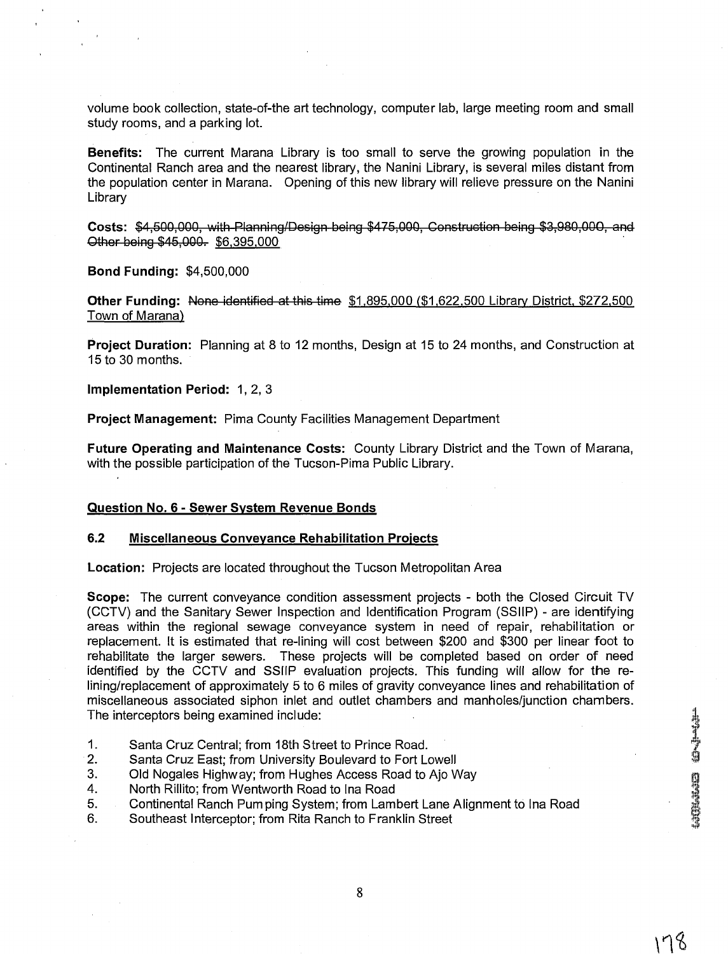volume book collection, state-of-the art technology, computer lab, large meeting room and small study rooms, and a parking lot.

**Benefits:** The current Marana Library is too small to serve the growing population in the Continental Ranch area and the nearest library, the Nanini Library, is several miles distant from the population center in Marana. Opening of this new library will relieve pressure on the Nanini Library **Costains and Strates:** The state-of-the art technology, computer lab, large meeting room and small<br>study rooms, and a parking lot.<br>**Benefits:** The current Marana Library is too small to serve the growing population in the

Other being \$45,000, \$6,395,000

**Bond Funding:** \$4,500,000

**Other Funding: None identified at this time \$1,895,000 (\$1,622,500 Library District, \$272,500** Town of Marana)

**Project Duration:** Planning at 8 to 12 months, Design at 15 to 24 months, and Construction at 15 to 30 months.

**Implementation Period:** 1, 2, 3

**Project Management:** Pima County Facilities Management Department

**Future Operating and Maintenance Costs:** County Library District and the Town of Marana, with the possible participation of the Tucson-Pima Public Library.

#### **Question No. 6** - **Sewer System Revenue Bonds**

## **6.2 Miscellaneous Conveyance Rehabilitation Proiects**

**Location:** Projects are located throughout the Tucson Metropolitan Area

**Scope:** The current conveyance condition assessment projects - both the Closed Circuit TV (CCTV) and the Sanitary Sewer Inspection and Identification Program (SSIIP) - are identifying areas within the regional sewage conveyance system in need of repair, rehabilitation or replacement. It is estimated that re-lining will cost between \$200 and \$300 per linear foot to rehabilitate the larger sewers. These projects will be completed based on order of need identified by the CCTV and SSllP evaluation projects. This funding will allow for the relining/replacement of approximately 5 to 6 miles of gravity conveyance lines and rehabilitation of miscellaneous associated siphon inlet and outlet chambers and manholesljunction chambers. The interceptors being examined include:

- 1. Santa Cruz Central; from 18th Street to Prince Road.
- **2.** Santa Cruz East; from University Boulevard to Fort Lowell
- 3. Old Nogales Highway; from Hughes Access Road to Ajo Way
- 4. North Rillito; from Wentworth Road to Ina Road
- 5. Continental Ranch Pumping System; from Lambert Lane Alignment to Ina Road
- 6. Southeast Interceptor; from Rita Ranch to Franklin Street

178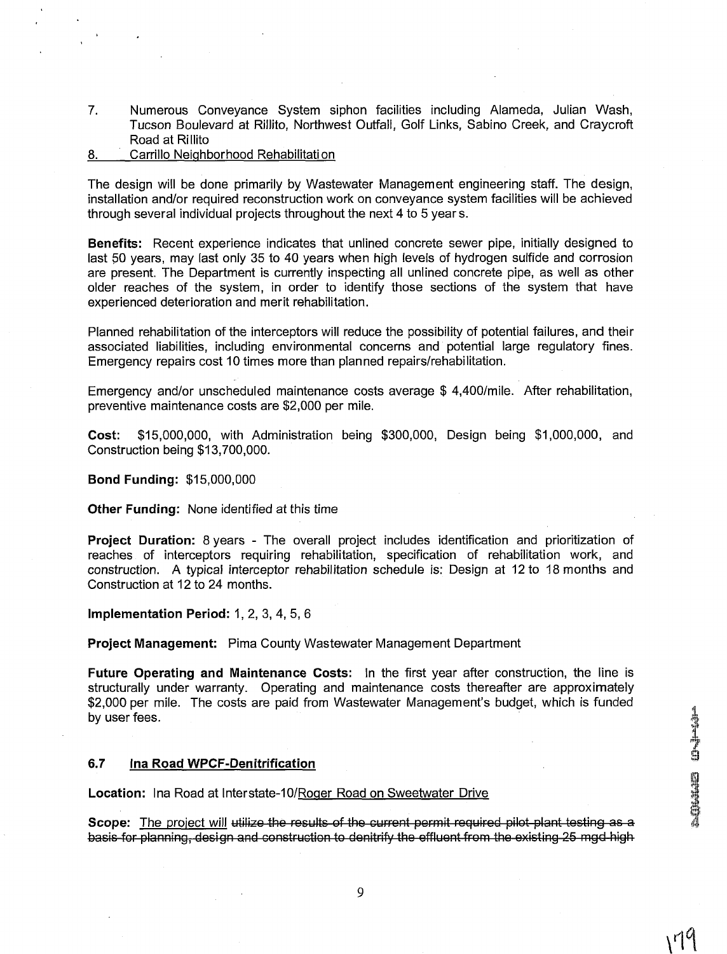7. Numerous Conveyance System siphon facilities including Alameda, Julian Wash, Tucson Boulevard at Rillito, Northwest Outfall, Golf Links, Sabino Creek, and Craycroft Road at Rillito

# 8. Carrillo Neighborhood Rehabilitation

The design will be done primarily by Wastewater Management engineering staff. The design, installation and/or required reconstruction work on conveyance system facilities will be achieved through several individual projects throughout the next 4 to 5 years.

**Benefits:** Recent experience indicates that unlined concrete sewer pipe, initially designed to last 50 years, may last only 35 to 40 years when high levels of hydrogen sulfide and corrosion are present. The Department is currently inspecting all unlined concrete pipe, as well as other older reaches of the system, in order to identify those sections of the system that have experienced deterioration and merit rehabilitation.

Planned rehabilitation of the interceptors will reduce the possibility of potential failures, and their associated liabilities, including environmental concerns and potential large regulatory fines. Emergency repairs cost 10 times more than planned repairs/rehabilitation.

Emergency and/or unscheduled maintenance costs average \$ 4,40O/mile. After rehabilitation, preventive maintenance costs are \$2,000 per mile.

**Cost:** \$1 5,000,000, with Administration being \$300,000, Design being \$1,000,000, and Construction being \$13,700,000.

**Bond Funding:** \$15,000,000

**Other Funding:** None identified at this time

**Project Duration:** 8 years - The overall project includes identification and prioritization of reaches of interceptors requiring rehabilitation, specification of rehabilitation work, and construction. A typical interceptor rehabilitation schedule is: Design at 12 to 18 months and Construction at 12 to 24 months.

**Implementation Period:** 1, 2, 3, 4, 5, 6

**Project Management:** Pima County Wastewater Management Department

**Future Operating and Maintenance Costs:** In the first year after construction, the line is structurally under warranty. Operating and maintenance costs thereafter are approximately \$2,000 per mile. The costs are paid from Wastewater Management's budget, which is funded by user fees.

## **6.7 Ina Road WPCF-Denitrification**

Location: Ina Road at Interstate-10/Roger Road on Sweetwater Drive

**Scope:** The project will utilize the results of the current permit required pilot plant testing as a basis for planning, design and construction to denitrify the effluent from the existing 25 mgd high

\19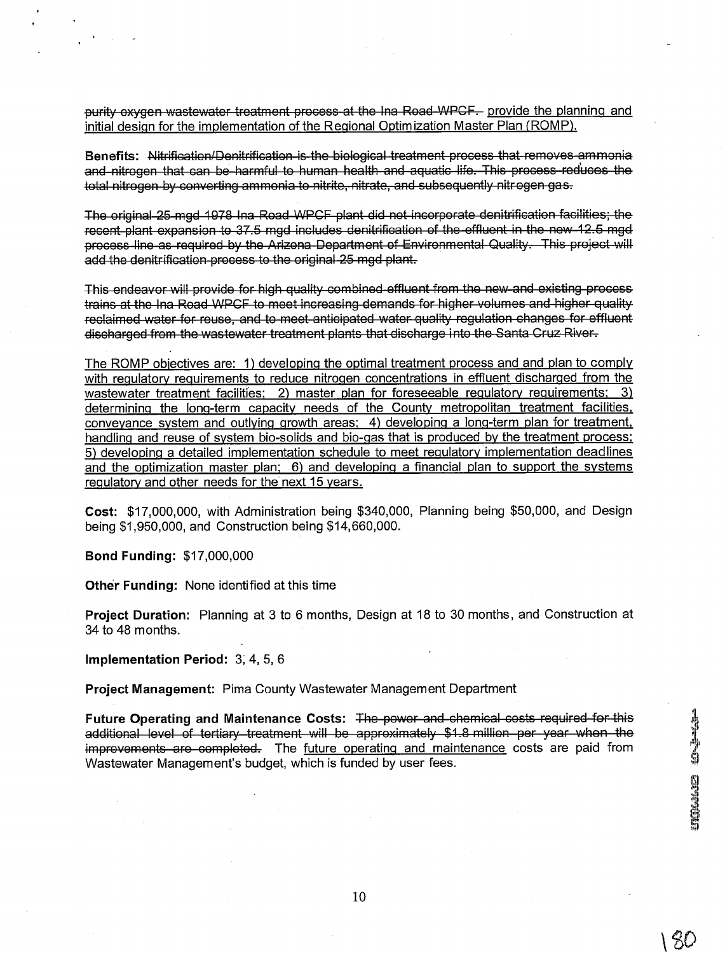purity oxygen wastewater treatment process at the Ina Road WPCF. provide the planning and initial design for the implementation of the Reqional Optimization Master Plan (ROMP).

**purify exygen-westewater fractment precess-et the ina-Read-WPCF-** provide the planning and<br>pintial design for the implementation of the Regional Optimization Master Plan (ROMP).<br>**Benefits:** Nitrification/Dentification is

The ROMP objectives are: 1) developing the optimal treatment process and and plan to comply with regulatory requirements to reduce nitrogen concentrations in effluent discharged from the wastewater treatment facilities; 2) master plan for foreseeable requiatory requirements; 3) determining the long-term capacity needs of the County metropolitan treatment facilities, conveyance system and outlvinq qrowth areas; 4) developinq a long-term plan for treatment, handling and reuse of system bio-solids and bio-gas that is produced by the treatment process; 5) developinq a detailed implementation schedule to meet requlatorv implementation deadlines and the optimization master plan; 6) and developinq a financial plan to support the svstems regulatory and other needs for the next 15 years.

**Cost:** \$17,000,000, with Administration being \$340,000, Planning being \$50,000, and Design being \$1,950,000, and Construction being \$14,660,000.

**Bond Funding: \$17,000,000** 

**Other Funding:** None identified at this time

**Project Duration:** Planning at 3 to 6 months, Design at 18 to 30 months, and Construction at 34 to 48 months.

**Implementation Period:** 3; 4, 5, 6

**Project Management:** Pima County Wastewater Management Department

Future Operating and Maintenance Costs: The power and chemical costs required for this additional level of tertiary treatment will be approximately \$1.8 million per year when the improvements are completed. The future operating and maintenance costs are paid from Wastewater Management's budget, which is funded by user fees.

1 SC